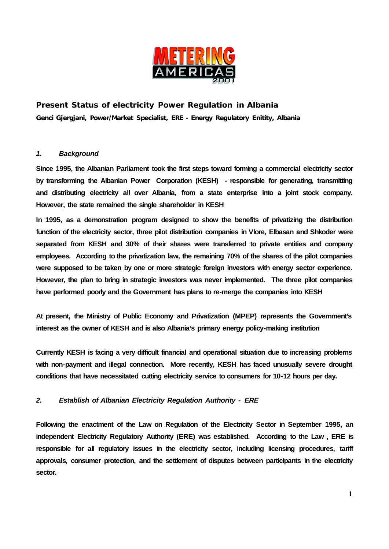

# **Present Status of electricity Power Regulation in Albania Genci Gjergjani, Power/Market Specialist, ERE - Energy Regulatory Enitity, Albania**

#### *1. Background*

**Since 1995, the Albanian Parliament took the first steps toward forming a commercial electricity sector by transforming the Albanian Power Corporation (KESH) - responsible for generating, transmitting and distributing electricity all over Albania, from a state enterprise into a joint stock company. However, the state remained the single shareholder in KESH**

**In 1995, as a demonstration program designed to show the benefits of privatizing the distribution function of the electricity sector, three pilot distribution companies in Vlore, Elbasan and Shkoder were separated from KESH and 30% of their shares were transferred to private entities and company employees. According to the privatization law, the remaining 70% of the shares of the pilot companies were supposed to be taken by one or more strategic foreign investors with energy sector experience. However, the plan to bring in strategic investors was never implemented. The three pilot companies have performed poorly and the Government has plans to re-merge the companies into KESH**

**At present, the Ministry of Public Economy and Privatization (MPEP) represents the Government's interest as the owner of KESH and is also Albania's primary energy policy-making institution**

**Currently KESH is facing a very difficult financial and operational situation due to increasing problems with non-payment and illegal connection. More recently, KESH has faced unusually severe drought conditions that have necessitated cutting electricity service to consumers for 10-12 hours per day.**

# *2. Establish of Albanian Electricity Regulation Authority - ERE*

**Following the enactment of the Law on Regulation of the Electricity Sector in September 1995, an independent Electricity Regulatory Authority (ERE) was established. According to the Law , ERE is responsible for all regulatory issues in the electricity sector, including licensing procedures, tariff approvals, consumer protection, and the settlement of disputes between participants in the electricity sector.**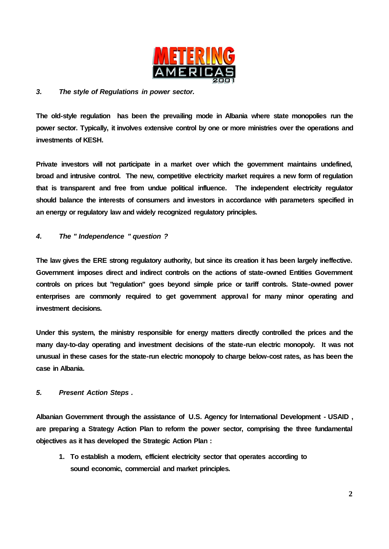

### *3. The style of Regulations in power sector.*

**The old-style regulation has been the prevailing mode in Albania where state monopolies run the power sector. Typically, it involves extensive control by one or more ministries over the operations and investments of KESH.** 

**Private investors will not participate in a market over which the government maintains undefined, broad and intrusive control. The new, competitive electricity market requires a new form of regulation that is transparent and free from undue political influence. The independent electricity regulator should balance the interests of consumers and investors in accordance with parameters specified in an energy or regulatory law and widely recognized regulatory principles.**

#### *4. The " Independence " question ?*

**The law gives the ERE strong regulatory authority, but since its creation it has been largely ineffective. Government imposes direct and indirect controls on the actions of state-owned Entities Government controls on prices but "regulation" goes beyond simple price or tariff controls. State-owned power enterprises are commonly required to get government approval for many minor operating and investment decisions.**

**Under this system, the ministry responsible for energy matters directly controlled the prices and the many day-to-day operating and investment decisions of the state-run electric monopoly. It was not unusual in these cases for the state-run electric monopoly to charge below-cost rates, as has been the case in Albania.**

#### *5. Present Action Steps .*

**Albanian Government through the assistance of U.S. Agency for International Development - USAID , are preparing a Strategy Action Plan to reform the power sector, comprising the three fundamental objectives as it has developed the Strategic Action Plan :**

**1. To establish a modern, efficient electricity sector that operates according to sound economic, commercial and market principles.**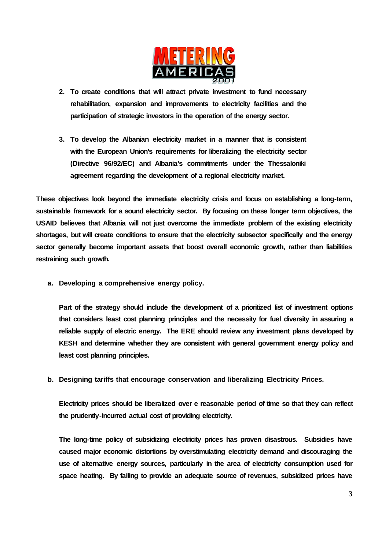

- **2. To create conditions that will attract private investment to fund necessary rehabilitation, expansion and improvements to electricity facilities and the participation of strategic investors in the operation of the energy sector.**
- **3. To develop the Albanian electricity market in a manner that is consistent with the European Union's requirements for liberalizing the electricity sector (Directive 96/92/EC) and Albania's commitments under the Thessaloniki agreement regarding the development of a regional electricity market.**

**These objectives look beyond the immediate electricity crisis and focus on establishing a long-term, sustainable framework for a sound electricity sector. By focusing on these longer term objectives, the USAID believes that Albania will not just overcome the immediate problem of the existing electricity shortages, but will create conditions to ensure that the electricity subsector specifically and the energy sector generally become important assets that boost overall economic growth, rather than liabilities restraining such growth.**

# **a. Developing a comprehensive energy policy.**

**Part of the strategy should include the development of a prioritized list of investment options that considers least cost planning principles and the necessity for fuel diversity in assuring a reliable supply of electric energy. The ERE should review any investment plans developed by KESH and determine whether they are consistent with general government energy policy and least cost planning principles.**

# **b. Designing tariffs that encourage conservation and liberalizing Electricity Prices.**

**Electricity prices should be liberalized over e reasonable period of time so that they can reflect the prudently-incurred actual cost of providing electricity.**

**The long-time policy of subsidizing electricity prices has proven disastrous. Subsidies have caused major economic distortions by overstimulating electricity demand and discouraging the use of alternative energy sources, particularly in the area of electricity consumption used for space heating. By failing to provide an adequate source of revenues, subsidized prices have**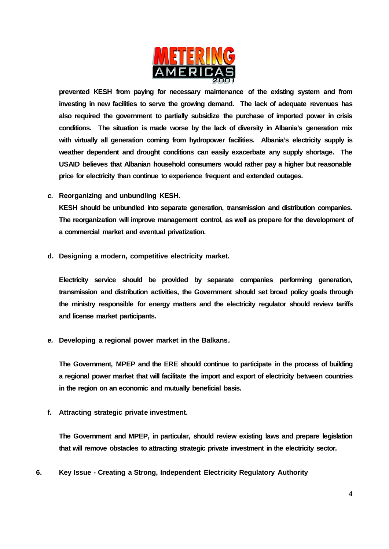

**prevented KESH from paying for necessary maintenance of the existing system and from investing in new facilities to serve the growing demand. The lack of adequate revenues has also required the government to partially subsidize the purchase of imported power in crisis conditions. The situation is made worse by the lack of diversity in Albania's generation mix with virtually all generation coming from hydropower facilities. Albania's electricity supply is weather dependent and drought conditions can easily exacerbate any supply shortage. The USAID believes that Albanian household consumers would rather pay a higher but reasonable price for electricity than continue to experience frequent and extended outages.** 

# *c.* **Reorganizing and unbundling KESH***.*

**KESH should be unbundled into separate generation, transmission and distribution companies. The reorganization will improve management control, as well as prepare for the development of a commercial market and eventual privatization.**

#### **d. Designing a modern, competitive electricity market.**

**Electricity service should be provided by separate companies performing generation, transmission and distribution activities, the Government should set broad policy goals through the ministry responsible for energy matters and the electricity regulator should review tariffs and license market participants.**

# *e.* **Developing a regional power market in the Balkans***.*

**The Government, MPEP and the ERE should continue to participate in the process of building a regional power market that will facilitate the import and export of electricity between countries in the region on an economic and mutually beneficial basis.**

#### **f. Attracting strategic private investment.**

**The Government and MPEP, in particular, should review existing laws and prepare legislation that will remove obstacles to attracting strategic private investment in the electricity sector.**

# **6. Key Issue - Creating a Strong, Independent Electricity Regulatory Authority**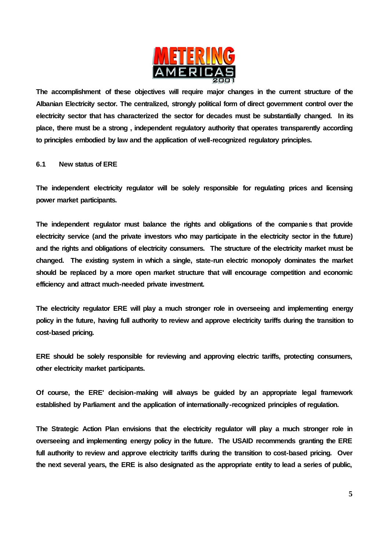

**The accomplishment of these objectives will require major changes in the current structure of the Albanian Electricity sector. The centralized, strongly political form of direct government control over the electricity sector that has characterized the sector for decades must be substantially changed. In its place, there must be a strong , independent regulatory authority that operates transparently according to principles embodied by law and the application of well-recognized regulatory principles.**

#### **6.1 New status of ERE**

**The independent electricity regulator will be solely responsible for regulating prices and licensing power market participants.**

**The independent regulator must balance the rights and obligations of the companies that provide electricity service (and the private investors who may participate in the electricity sector in the future) and the rights and obligations of electricity consumers. The structure of the electricity market must be changed. The existing system in which a single, state-run electric monopoly dominates the market should be replaced by a more open market structure that will encourage competition and economic efficiency and attract much-needed private investment.**

**The electricity regulator ERE will play a much stronger role in overseeing and implementing energy policy in the future, having full authority to review and approve electricity tariffs during the transition to cost-based pricing.** 

**ERE should be solely responsible for reviewing and approving electric tariffs, protecting consumers, other electricity market participants.** 

**Of course, the ERE' decision-making will always be guided by an appropriate legal framework established by Parliament and the application of internationally -recognized principles of regulation.**

**The Strategic Action Plan envisions that the electricity regulator will play a much stronger role in overseeing and implementing energy policy in the future. The USAID recommends granting the ERE full authority to review and approve electricity tariffs during the transition to cost-based pricing. Over the next several years, the ERE is also designated as the appropriate entity to lead a series of public,**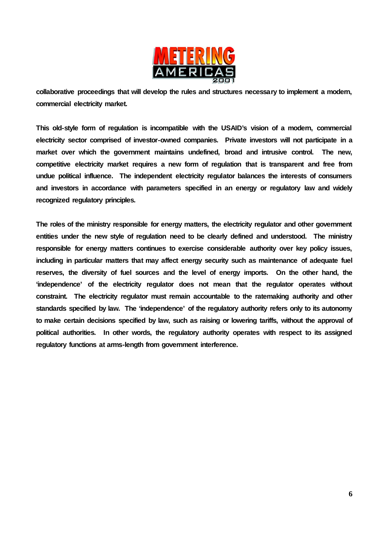

**collaborative proceedings that will develop the rules and structures necessary to implement a modern, commercial electricity market.**

**This old-style form of regulation is incompatible with the USAID's vision of a modern, commercial electricity sector comprised of investor-owned companies. Private investors will not participate in a market over which the government maintains undefined, broad and intrusive control. The new, competitive electricity market requires a new form of regulation that is transparent and free from undue political influence. The independent electricity regulator balances the interests of consumers and investors in accordance with parameters specified in an energy or regulatory law and widely recognized regulatory principles.**

**The roles of the ministry responsible for energy matters, the electricity regulator and other government entities under the new style of regulation need to be clearly defined and understood. The ministry responsible for energy matters continues to exercise considerable authority over key policy issues, including in particular matters that may affect energy security such as maintenance of adequate fuel reserves, the diversity of fuel sources and the level of energy imports. On the other hand, the 'independence' of the electricity regulator does not mean that the regulator operates without constraint. The electricity regulator must remain accountable to the ratemaking authority and other standards specified by law. The 'independence' of the regulatory authority refers only to its autonomy to make certain decisions specified by law, such as raising or lowering tariffs, without the approval of political authorities. In other words, the regulatory authority operates with respect to its assigned regulatory functions at arms-length from government interference.**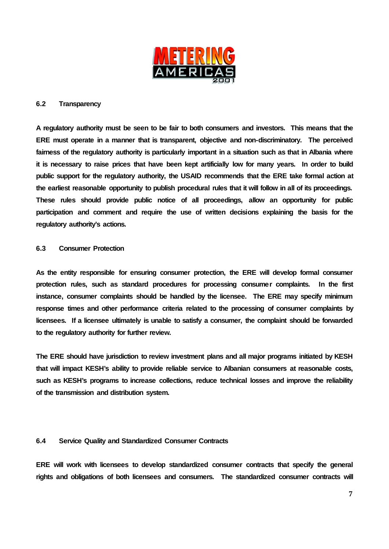

#### **6.2 Transparency**

**A regulatory authority must be seen to be fair to both consumers and investors. This means that the ERE must operate in a manner that is transparent, objective and non-discriminatory. The perceived fairness of the regulatory authority is particularly important in a situation such as that in Albania where it is necessary to raise prices that have been kept artificially low for many years. In order to build public support for the regulatory authority, the USAID recommends that the ERE take formal action at the earliest reasonable opportunity to publish procedural rules that it will follow in all of its proceedings. These rules should provide public notice of all proceedings, allow an opportunity for public participation and comment and require the use of written decisions explaining the basis for the regulatory authority's actions.**

#### **6.3 Consumer Protection**

**As the entity responsible for ensuring consumer protection, the ERE will develop formal consumer protection rules, such as standard procedures for processing consumer complaints. In the first instance, consumer complaints should be handled by the licensee. The ERE may specify minimum response times and other performance criteria related to the processing of consumer complaints by licensees. If a licensee ultimately is unable to satisfy a consumer, the complaint should be forwarded to the regulatory authority for further review.** 

**The ERE should have jurisdiction to review investment plans and all major programs initiated by KESH that will impact KESH's ability to provide reliable service to Albanian consumers at reasonable costs, such as KESH's programs to increase collections, reduce technical losses and improve the reliability of the transmission and distribution system.**

#### **6.4 Service Quality and Standardized Consumer Contracts**

**ERE will work with licensees to develop standardized consumer contracts that specify the general rights and obligations of both licensees and consumers. The standardized consumer contracts will**